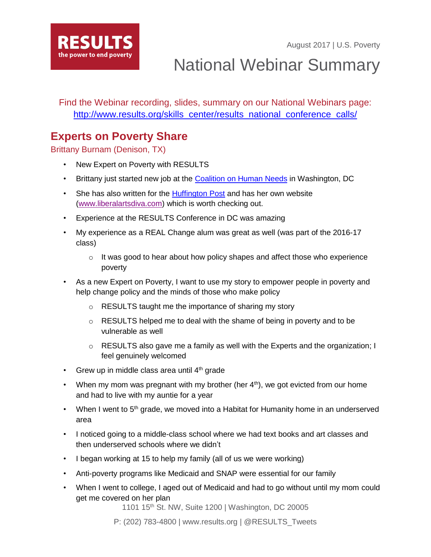August 2017 | U.S. Poverty



National Webinar Summary

Find the Webinar recording, slides, summary on our National Webinars page: [http://www.results.org/skills\\_center/results\\_national\\_conference\\_calls/](http://www.results.org/skills_center/results_national_conference_calls/)

## **Experts on Poverty Share**

Brittany Burnam (Denison, TX)

- New Expert on Poverty with RESULTS
- Brittany just started new job at the [Coalition on Human Needs](http://www.chn.org/) in Washington, DC
- She has also written for the **Huffington Post** and has her own website [\(www.liberalartsdiva.com\)](http://www.liberalartsdiva.com/) which is worth checking out.
- Experience at the RESULTS Conference in DC was amazing
- My experience as a REAL Change alum was great as well (was part of the 2016-17 class)
	- $\circ$  It was good to hear about how policy shapes and affect those who experience poverty
- As a new Expert on Poverty, I want to use my story to empower people in poverty and help change policy and the minds of those who make policy
	- o RESULTS taught me the importance of sharing my story
	- o RESULTS helped me to deal with the shame of being in poverty and to be vulnerable as well
	- $\circ$  RESULTS also gave me a family as well with the Experts and the organization; I feel genuinely welcomed
- Grew up in middle class area until  $4<sup>th</sup>$  grade
- When my mom was pregnant with my brother (her  $4<sup>th</sup>$ ), we got evicted from our home and had to live with my auntie for a year
- When I went to  $5<sup>th</sup>$  grade, we moved into a Habitat for Humanity home in an underserved area
- I noticed going to a middle-class school where we had text books and art classes and then underserved schools where we didn't
- I began working at 15 to help my family (all of us we were working)
- Anti-poverty programs like Medicaid and SNAP were essential for our family
- When I went to college, I aged out of Medicaid and had to go without until my mom could get me covered on her plan

1101 15th St. NW, Suite 1200 | Washington, DC 20005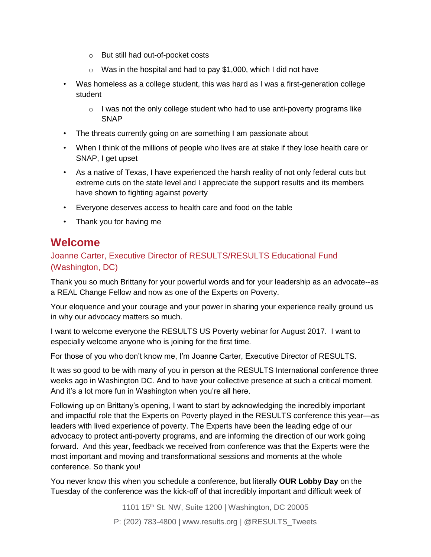- o But still had out-of-pocket costs
- $\circ$  Was in the hospital and had to pay \$1,000, which I did not have
- Was homeless as a college student, this was hard as I was a first-generation college student
	- $\circ$  I was not the only college student who had to use anti-poverty programs like **SNAP**
- The threats currently going on are something I am passionate about
- When I think of the millions of people who lives are at stake if they lose health care or SNAP, I get upset
- As a native of Texas, I have experienced the harsh reality of not only federal cuts but extreme cuts on the state level and I appreciate the support results and its members have shown to fighting against poverty
- Everyone deserves access to health care and food on the table
- Thank you for having me

### **Welcome**

#### Joanne Carter, Executive Director of RESULTS/RESULTS Educational Fund (Washington, DC)

Thank you so much Brittany for your powerful words and for your leadership as an advocate--as a REAL Change Fellow and now as one of the Experts on Poverty.

Your eloquence and your courage and your power in sharing your experience really ground us in why our advocacy matters so much.

I want to welcome everyone the RESULTS US Poverty webinar for August 2017. I want to especially welcome anyone who is joining for the first time.

For those of you who don't know me, I'm Joanne Carter, Executive Director of RESULTS.

It was so good to be with many of you in person at the RESULTS International conference three weeks ago in Washington DC. And to have your collective presence at such a critical moment. And it's a lot more fun in Washington when you're all here.

Following up on Brittany's opening, I want to start by acknowledging the incredibly important and impactful role that the Experts on Poverty played in the RESULTS conference this year—as leaders with lived experience of poverty. The Experts have been the leading edge of our advocacy to protect anti-poverty programs, and are informing the direction of our work going forward. And this year, feedback we received from conference was that the Experts were the most important and moving and transformational sessions and moments at the whole conference. So thank you!

You never know this when you schedule a conference, but literally *OUR Lobby Day* on the Tuesday of the conference was the kick-off of that incredibly important and difficult week of

> 1101 15th St. NW, Suite 1200 | Washington, DC 20005 P: (202) 783-4800 | www.results.org | @RESULTS\_Tweets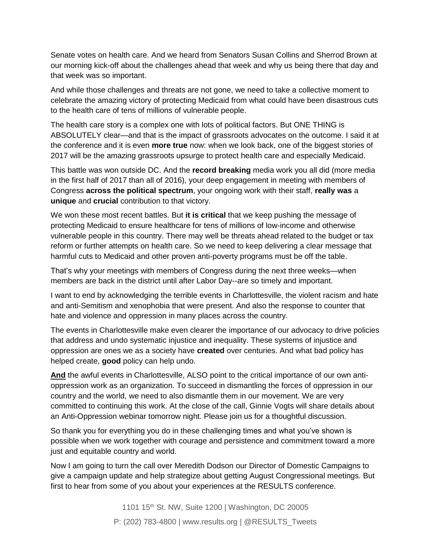Senate votes on health care. And we heard from Senators Susan Collins and Sherrod Brown at our morning kick-off about the challenges ahead that week and why us being there that day and that week was so important.

And while those challenges and threats are not gone, we need to take a collective moment to celebrate the amazing victory of protecting Medicaid from what could have been disastrous cuts to the health care of tens of millions of vulnerable people.

The health care story is a complex one with lots of political factors. But ONE THING is ABSOLUTELY clear—and that is the impact of grassroots advocates on the outcome. I said it at the conference and it is even *more true* now: when we look back, one of the biggest stories of 2017 will be the amazing grassroots upsurge to protect health care and especially Medicaid.

This battle was won outside DC. And the *record breaking* media work you all did (more media in the first half of 2017 than all of 2016), your deep engagement in meeting with members of Congress *across the political spectrum*, your ongoing work with their staff, *really was* a *unique* and *crucial* contribution to that victory.

We won these most recent battles. But **it is critical** that we keep pushing the message of protecting Medicaid to ensure healthcare for tens of millions of low-income and otherwise vulnerable people in this country. There may well be threats ahead related to the budget or tax reform or further attempts on health care. So we need to keep delivering a clear message that harmful cuts to Medicaid and other proven anti-poverty programs must be off the table.

That's why your meetings with members of Congress during the next three weeks—when members are back in the district until after Labor Day--are so timely and important.

I want to end by acknowledging the terrible events in Charlottesville, the violent racism and hate and anti-Semitism and xenophobia that were present. And also the response to counter that hate and violence and oppression in many places across the country.

The events in Charlottesville make even clearer the importance of our advocacy to drive policies that address and undo systematic injustice and inequality. These systems of injustice and oppression are ones we as a society have *created* over centuries. And what bad policy has helped create, *good* policy can help undo.

**And** the awful events in Charlottesville, ALSO point to the critical importance of our own antioppression work as an organization. To succeed in dismantling the forces of oppression in our country and the world, we need to also dismantle them in our movement. We are very committed to continuing this work. At the close of the call, Ginnie Vogts will share details about an Anti-Oppression webinar tomorrow night. Please join us for a thoughtful discussion.

So thank you for everything you do in these challenging times and what you've shown is possible when we work together with courage and persistence and commitment toward a more just and equitable country and world.

Now I am going to turn the call over Meredith Dodson our Director of Domestic Campaigns to give a campaign update and help strategize about getting August Congressional meetings. But first to hear from some of you about your experiences at the RESULTS conference.

> 1101 15<sup>th</sup> St. NW, Suite 1200 | Washington, DC 20005 P: (202) 783-4800 | www.results.org | @RESULTS\_Tweets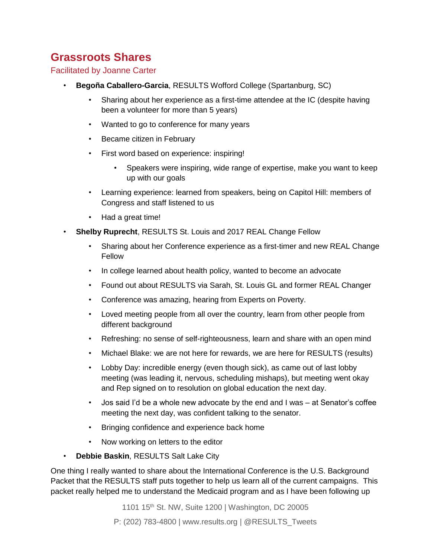# **Grassroots Shares**

#### Facilitated by Joanne Carter

- **Begoña Caballero-Garcia**, RESULTS Wofford College (Spartanburg, SC)
	- Sharing about her experience as a first-time attendee at the IC (despite having been a volunteer for more than 5 years)
	- Wanted to go to conference for many years
	- Became citizen in February
	- First word based on experience: inspiring!
		- Speakers were inspiring, wide range of expertise, make you want to keep up with our goals
	- Learning experience: learned from speakers, being on Capitol Hill: members of Congress and staff listened to us
	- Had a great time!
- **Shelby Ruprecht**, RESULTS St. Louis and 2017 REAL Change Fellow
	- Sharing about her Conference experience as a first-timer and new REAL Change Fellow
	- In college learned about health policy, wanted to become an advocate
	- Found out about RESULTS via Sarah, St. Louis GL and former REAL Changer
	- Conference was amazing, hearing from Experts on Poverty.
	- Loved meeting people from all over the country, learn from other people from different background
	- Refreshing: no sense of self-righteousness, learn and share with an open mind
	- Michael Blake: we are not here for rewards, we are here for RESULTS (results)
	- Lobby Day: incredible energy (even though sick), as came out of last lobby meeting (was leading it, nervous, scheduling mishaps), but meeting went okay and Rep signed on to resolution on global education the next day.
	- Jos said I'd be a whole new advocate by the end and I was at Senator's coffee meeting the next day, was confident talking to the senator.
	- Bringing confidence and experience back home
	- Now working on letters to the editor
- **Debbie Baskin**, RESULTS Salt Lake City

One thing I really wanted to share about the International Conference is the U.S. Background Packet that the RESULTS staff puts together to help us learn all of the current campaigns. This packet really helped me to understand the Medicaid program and as I have been following up

1101 15<sup>th</sup> St. NW, Suite 1200 | Washington, DC 20005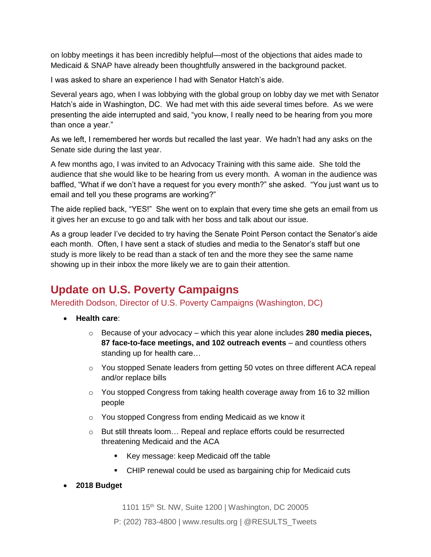on lobby meetings it has been incredibly helpful—most of the objections that aides made to Medicaid & SNAP have already been thoughtfully answered in the background packet.

I was asked to share an experience I had with Senator Hatch's aide.

Several years ago, when I was lobbying with the global group on lobby day we met with Senator Hatch's aide in Washington, DC. We had met with this aide several times before. As we were presenting the aide interrupted and said, "you know, I really need to be hearing from you more than once a year."

As we left, I remembered her words but recalled the last year. We hadn't had any asks on the Senate side during the last year.

A few months ago, I was invited to an Advocacy Training with this same aide. She told the audience that she would like to be hearing from us every month. A woman in the audience was baffled, "What if we don't have a request for you every month?" she asked. "You just want us to email and tell you these programs are working?"

The aide replied back, "YES!" She went on to explain that every time she gets an email from us it gives her an excuse to go and talk with her boss and talk about our issue.

As a group leader I've decided to try having the Senate Point Person contact the Senator's aide each month. Often, I have sent a stack of studies and media to the Senator's staff but one study is more likely to be read than a stack of ten and the more they see the same name showing up in their inbox the more likely we are to gain their attention.

# **Update on U.S. Poverty Campaigns**

Meredith Dodson, Director of U.S. Poverty Campaigns (Washington, DC)

- **Health care**:
	- o Because of your advocacy which this year alone includes **280 media pieces, 87 face-to-face meetings, and 102 outreach events** – and countless others standing up for health care…
	- o You stopped Senate leaders from getting 50 votes on three different ACA repeal and/or replace bills
	- $\circ$  You stopped Congress from taking health coverage away from 16 to 32 million people
	- o You stopped Congress from ending Medicaid as we know it
	- o But still threats loom… Repeal and replace efforts could be resurrected threatening Medicaid and the ACA
		- Key message: keep Medicaid off the table
		- CHIP renewal could be used as bargaining chip for Medicaid cuts
- **2018 Budget**

1101 15<sup>th</sup> St. NW, Suite 1200 | Washington, DC 20005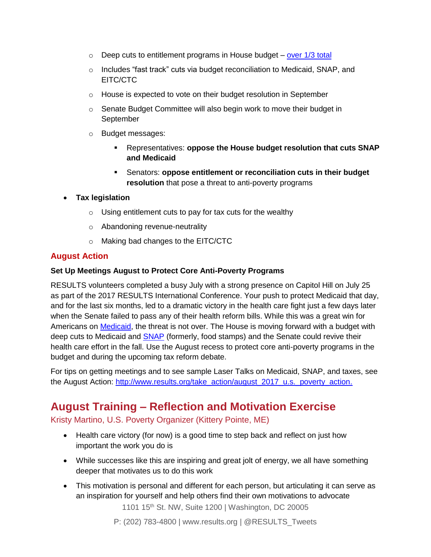- $\circ$  Deep cuts to entitlement programs in House budget [over 1/3 total](https://www.cbpp.org/research/federal-budget/house-gop-budget-cuts-programs-aiding-low-and-moderate-income-people-by-29)
- o Includes "fast track" cuts via budget reconciliation to Medicaid, SNAP, and EITC/CTC
- o House is expected to vote on their budget resolution in September
- o Senate Budget Committee will also begin work to move their budget in September
- o Budget messages:
	- Representatives: **oppose the House budget resolution that cuts SNAP and Medicaid**
	- Senators: **oppose entitlement or reconciliation cuts in their budget resolution** that pose a threat to anti-poverty programs

#### • **Tax legislation**

- $\circ$  Using entitlement cuts to pay for tax cuts for the wealthy
- o Abandoning revenue-neutrality
- o Making bad changes to the EITC/CTC

#### **August Action**

#### **Set Up Meetings August to Protect Core Anti-Poverty Programs**

RESULTS volunteers completed a busy July with a strong presence on Capitol Hill on July 25 as part of the 2017 RESULTS International Conference. Your push to protect Medicaid that day, and for the last six months, led to a dramatic victory in the health care fight just a few days later when the Senate failed to pass any of their health reform bills. While this was a great win for Americans on [Medicaid,](http://www.results.org/issues/medicaid/) the threat is not over. The House is moving forward with a budget with deep cuts to Medicaid and **SNAP** (formerly, food stamps) and the Senate could revive their health care effort in the fall. Use the August recess to protect core anti-poverty programs in the budget and during the upcoming tax reform debate.

For tips on getting meetings and to see sample Laser Talks on Medicaid, SNAP, and taxes, see the August Action: [http://www.results.org/take\\_action/august\\_2017\\_u.s.\\_poverty\\_action.](http://www.results.org/take_action/august_2017_u.s._poverty_action)

## **August Training – Reflection and Motivation Exercise**

Kristy Martino, U.S. Poverty Organizer (Kittery Pointe, ME)

- Health care victory (for now) is a good time to step back and reflect on just how important the work you do is
- While successes like this are inspiring and great jolt of energy, we all have something deeper that motivates us to do this work
- This motivation is personal and different for each person, but articulating it can serve as an inspiration for yourself and help others find their own motivations to advocate

1101 15<sup>th</sup> St. NW, Suite 1200 | Washington, DC 20005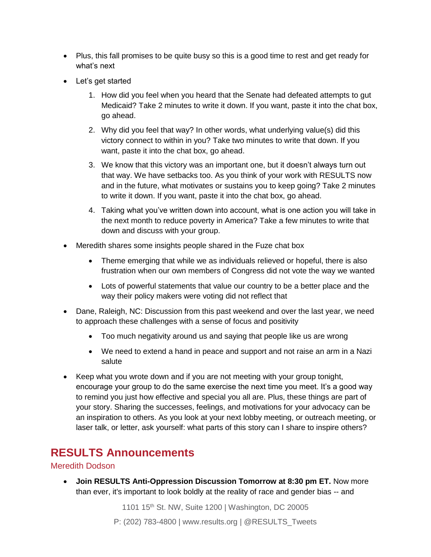- Plus, this fall promises to be quite busy so this is a good time to rest and get ready for what's next
- Let's get started
	- 1. How did you feel when you heard that the Senate had defeated attempts to gut Medicaid? Take 2 minutes to write it down. If you want, paste it into the chat box, go ahead.
	- 2. Why did you feel that way? In other words, what underlying value(s) did this victory connect to within in you? Take two minutes to write that down. If you want, paste it into the chat box, go ahead.
	- 3. We know that this victory was an important one, but it doesn't always turn out that way. We have setbacks too. As you think of your work with RESULTS now and in the future, what motivates or sustains you to keep going? Take 2 minutes to write it down. If you want, paste it into the chat box, go ahead.
	- 4. Taking what you've written down into account, what is one action you will take in the next month to reduce poverty in America? Take a few minutes to write that down and discuss with your group.
- Meredith shares some insights people shared in the Fuze chat box
	- Theme emerging that while we as individuals relieved or hopeful, there is also frustration when our own members of Congress did not vote the way we wanted
	- Lots of powerful statements that value our country to be a better place and the way their policy makers were voting did not reflect that
- Dane, Raleigh, NC: Discussion from this past weekend and over the last year, we need to approach these challenges with a sense of focus and positivity
	- Too much negativity around us and saying that people like us are wrong
	- We need to extend a hand in peace and support and not raise an arm in a Nazi salute
- Keep what you wrote down and if you are not meeting with your group tonight, encourage your group to do the same exercise the next time you meet. It's a good way to remind you just how effective and special you all are. Plus, these things are part of your story. Sharing the successes, feelings, and motivations for your advocacy can be an inspiration to others. As you look at your next lobby meeting, or outreach meeting, or laser talk, or letter, ask yourself: what parts of this story can I share to inspire others?

## **RESULTS Announcements**

#### Meredith Dodson

• **Join RESULTS Anti-Oppression Discussion Tomorrow at 8:30 pm ET.** Now more than ever, it's important to look boldly at the reality of race and gender bias -- and

1101 15th St. NW, Suite 1200 | Washington, DC 20005